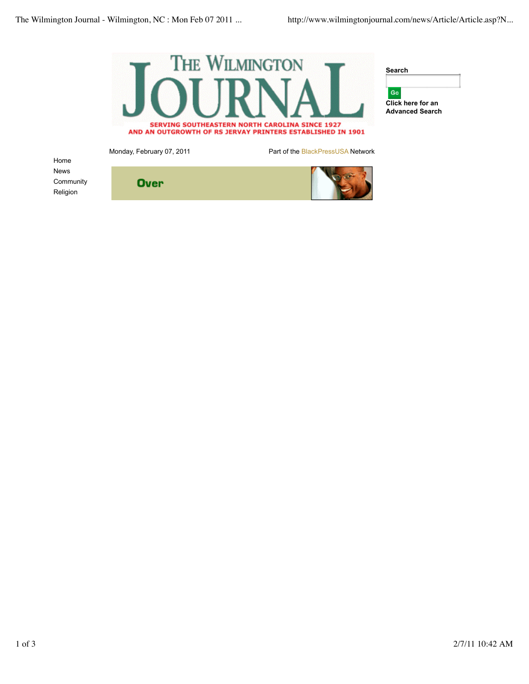**Over** 



Home News **Community** Religion

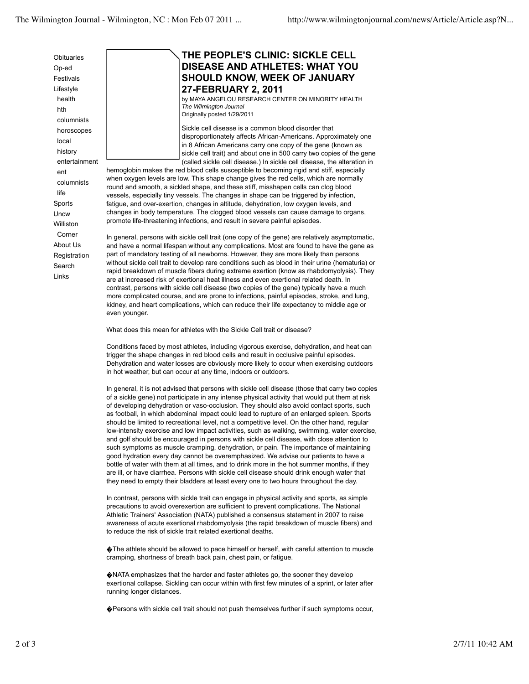Op-ed Festivals Lifestyle health hth columnists horoscopes local history entertainment ent columnists life **Sports Uncw** Williston Corner About Us Registration Search Links

**Obituaries** 

## **THE PEOPLE'S CLINIC: SICKLE CELL DISEASE AND ATHLETES: WHAT YOU SHOULD KNOW, WEEK OF JANUARY 27-FEBRUARY 2, 2011**

by MAYA ANGELOU RESEARCH CENTER ON MINORITY HEALTH *The Wilmington Journal* Originally posted 1/29/2011

Sickle cell disease is a common blood disorder that disproportionately affects African-Americans. Approximately one in 8 African Americans carry one copy of the gene (known as sickle cell trait) and about one in 500 carry two copies of the gene (called sickle cell disease.) In sickle cell disease, the alteration in

hemoglobin makes the red blood cells susceptible to becoming rigid and stiff, especially when oxygen levels are low. This shape change gives the red cells, which are normally round and smooth, a sickled shape, and these stiff, misshapen cells can clog blood vessels, especially tiny vessels. The changes in shape can be triggered by infection, fatigue, and over-exertion, changes in altitude, dehydration, low oxygen levels, and changes in body temperature. The clogged blood vessels can cause damage to organs, promote life-threatening infections, and result in severe painful episodes.

In general, persons with sickle cell trait (one copy of the gene) are relatively asymptomatic, and have a normal lifespan without any complications. Most are found to have the gene as part of mandatory testing of all newborns. However, they are more likely than persons without sickle cell trait to develop rare conditions such as blood in their urine (hematuria) or rapid breakdown of muscle fibers during extreme exertion (know as rhabdomyolysis). They are at increased risk of exertional heat illness and even exertional related death. In contrast, persons with sickle cell disease (two copies of the gene) typically have a much more complicated course, and are prone to infections, painful episodes, stroke, and lung, kidney, and heart complications, which can reduce their life expectancy to middle age or even younger.

What does this mean for athletes with the Sickle Cell trait or disease?

Conditions faced by most athletes, including vigorous exercise, dehydration, and heat can trigger the shape changes in red blood cells and result in occlusive painful episodes. Dehydration and water losses are obviously more likely to occur when exercising outdoors in hot weather, but can occur at any time, indoors or outdoors.

In general, it is not advised that persons with sickle cell disease (those that carry two copies of a sickle gene) not participate in any intense physical activity that would put them at risk of developing dehydration or vaso-occlusion. They should also avoid contact sports, such as football, in which abdominal impact could lead to rupture of an enlarged spleen. Sports should be limited to recreational level, not a competitive level. On the other hand, regular low-intensity exercise and low impact activities, such as walking, swimming, water exercise, and golf should be encouraged in persons with sickle cell disease, with close attention to such symptoms as muscle cramping, dehydration, or pain. The importance of maintaining good hydration every day cannot be overemphasized. We advise our patients to have a bottle of water with them at all times, and to drink more in the hot summer months, if they are ill, or have diarrhea. Persons with sickle cell disease should drink enough water that they need to empty their bladders at least every one to two hours throughout the day.

In contrast, persons with sickle trait can engage in physical activity and sports, as simple precautions to avoid overexertion are sufficient to prevent complications. The National Athletic Trainers' Association (NATA) published a consensus statement in 2007 to raise awareness of acute exertional rhabdomyolysis (the rapid breakdown of muscle fibers) and to reduce the risk of sickle trait related exertional deaths.

�The athlete should be allowed to pace himself or herself, with careful attention to muscle cramping, shortness of breath back pain, chest pain, or fatigue.

�NATA emphasizes that the harder and faster athletes go, the sooner they develop exertional collapse. Sickling can occur within with first few minutes of a sprint, or later after running longer distances.

�Persons with sickle cell trait should not push themselves further if such symptoms occur,